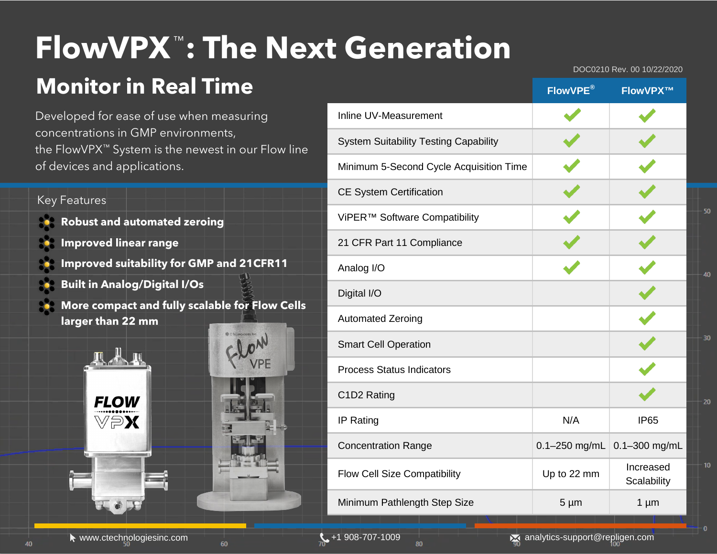## ™ **FlowVPX : The Next Generation**

### **Monitor in Real Time**

Developed for ease of use when measuring concentrations in GMP environments, the FlowVPX™ System is the newest in our Flow line of devices and applications.

#### Key Features

- **Robust and automated zeroing**
- **Improved linear range**
- **Improved suitability for GMP and 21CFR11**
- **Built in Analog/Digital I/Os**
- **More compact and fully scalable for Flow Cells larger than 22 mm**





|                                              | FlowVPE®          | FlowVPX™                 |
|----------------------------------------------|-------------------|--------------------------|
| Inline UV-Measurement                        |                   |                          |
| <b>System Suitability Testing Capability</b> |                   |                          |
| Minimum 5-Second Cycle Acquisition Time      |                   |                          |
| <b>CE System Certification</b>               |                   |                          |
| ViPER™ Software Compatibility                |                   |                          |
| 21 CFR Part 11 Compliance                    |                   |                          |
| Analog I/O                                   |                   |                          |
| Digital I/O                                  |                   |                          |
| <b>Automated Zeroing</b>                     |                   |                          |
| <b>Smart Cell Operation</b>                  |                   |                          |
| <b>Process Status Indicators</b>             |                   |                          |
| C1D2 Rating                                  |                   |                          |
| IP Rating                                    | N/A               | <b>IP65</b>              |
| <b>Concentration Range</b>                   | $0.1 - 250$ mg/mL | 0.1-300 mg/mL            |
| Flow Cell Size Compatibility                 | Up to 22 mm       | Increased<br>Scalability |
| Minimum Pathlength Step Size                 | $5 \mu m$         | $1 \mu m$                |

DOC0210 Rev. 00 10/22/2020

50

40

30

20

 $10<sub>10</sub>$